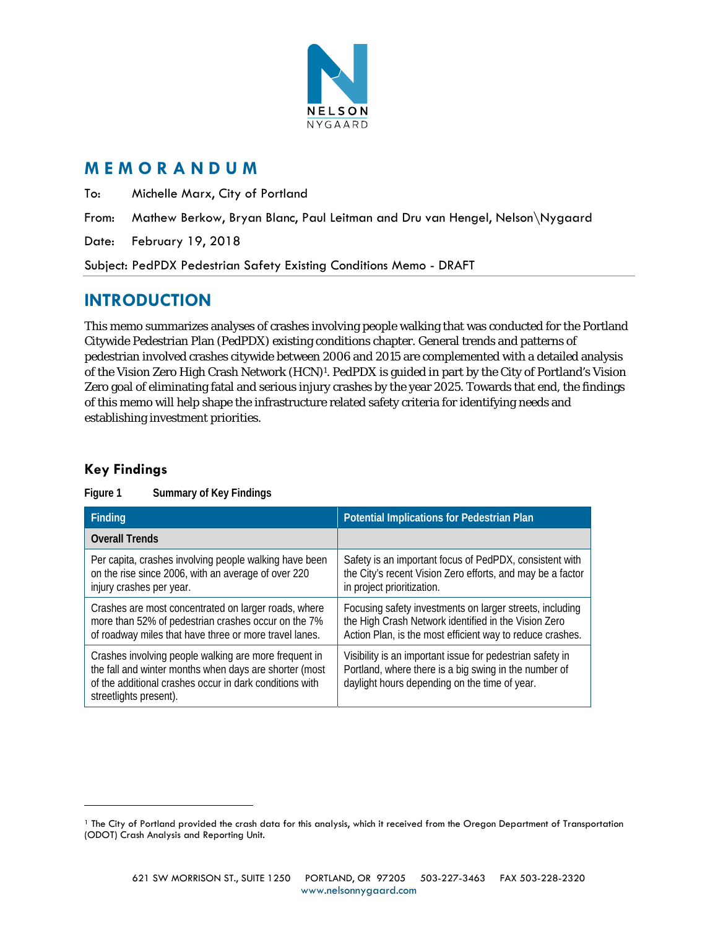

## **M E M O R A N D U M**

To: Michelle Marx, City of Portland

From: Mathew Berkow, Bryan Blanc, Paul Leitman and Dru van Hengel, Nelson\Nygaard

Date: February 19, 2018

Subject: PedPDX Pedestrian Safety Existing Conditions Memo - DRAFT

# **INTRODUCTION**

This memo summarizes analyses of crashes involving people walking that was conducted for the Portland Citywide Pedestrian Plan (PedPDX) existing conditions chapter. General trends and patterns of pedestrian involved crashes citywide between 2006 and 2015 are complemented with a detailed analysis of the Vision Zero High Crash Network (HCN)1. PedPDX is guided in part by the City of Portland's Vision Zero goal of eliminating fatal and serious injury crashes by the year 2025. Towards that end, the findings of this memo will help shape the infrastructure related safety criteria for identifying needs and establishing investment priorities.

## **Key Findings**

 $\overline{a}$ 

| Finding                                                                                                                                                                                              | Potential Implications for Pedestrian Plan                                                                                                                                    |  |  |  |  |  |
|------------------------------------------------------------------------------------------------------------------------------------------------------------------------------------------------------|-------------------------------------------------------------------------------------------------------------------------------------------------------------------------------|--|--|--|--|--|
| <b>Overall Trends</b>                                                                                                                                                                                |                                                                                                                                                                               |  |  |  |  |  |
| Per capita, crashes involving people walking have been<br>on the rise since 2006, with an average of over 220<br>injury crashes per year.                                                            | Safety is an important focus of PedPDX, consistent with<br>the City's recent Vision Zero efforts, and may be a factor<br>in project prioritization.                           |  |  |  |  |  |
| Crashes are most concentrated on larger roads, where<br>more than 52% of pedestrian crashes occur on the 7%<br>of roadway miles that have three or more travel lanes.                                | Focusing safety investments on larger streets, including<br>the High Crash Network identified in the Vision Zero<br>Action Plan, is the most efficient way to reduce crashes. |  |  |  |  |  |
| Crashes involving people walking are more frequent in<br>the fall and winter months when days are shorter (most<br>of the additional crashes occur in dark conditions with<br>streetlights present). | Visibility is an important issue for pedestrian safety in<br>Portland, where there is a big swing in the number of<br>daylight hours depending on the time of year.           |  |  |  |  |  |

#### **Figure 1 Summary of Key Findings**

<sup>1</sup> The City of Portland provided the crash data for this analysis, which it received from the Oregon Department of Transportation (ODOT) Crash Analysis and Reporting Unit.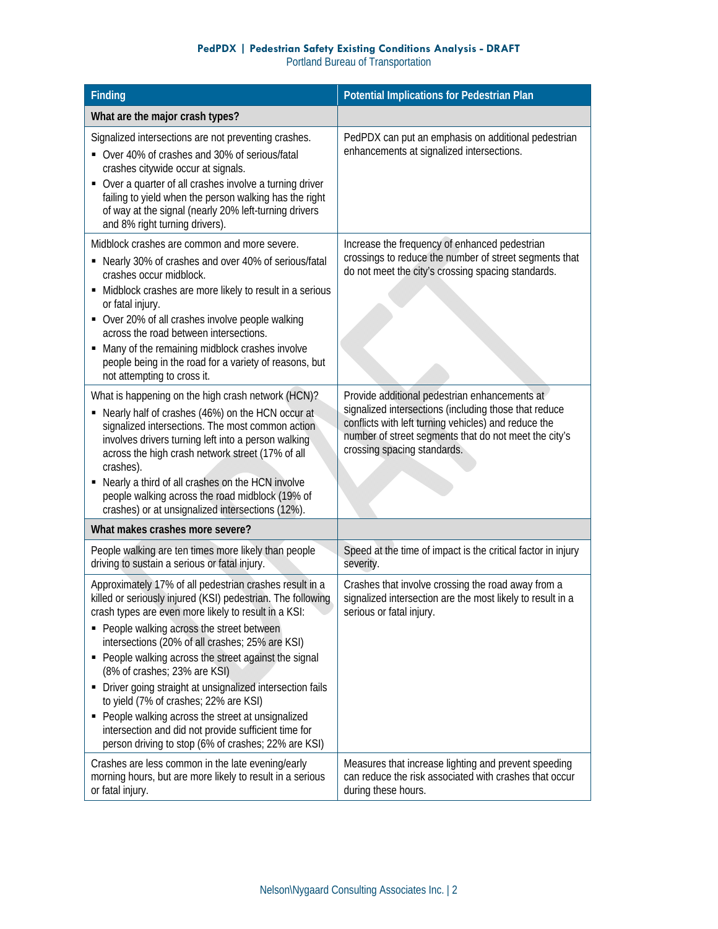#### **PedPDX | Pedestrian Safety Existing Conditions Analysis - DRAFT**  Portland Bureau of Transportation

| <b>Finding</b>                                                                                                                                                                                                                                                                                                                                                                                                                                                                                                                                                                                                                                        | <b>Potential Implications for Pedestrian Plan</b>                                                                                                                                                                                                      |
|-------------------------------------------------------------------------------------------------------------------------------------------------------------------------------------------------------------------------------------------------------------------------------------------------------------------------------------------------------------------------------------------------------------------------------------------------------------------------------------------------------------------------------------------------------------------------------------------------------------------------------------------------------|--------------------------------------------------------------------------------------------------------------------------------------------------------------------------------------------------------------------------------------------------------|
| What are the major crash types?                                                                                                                                                                                                                                                                                                                                                                                                                                                                                                                                                                                                                       |                                                                                                                                                                                                                                                        |
| Signalized intersections are not preventing crashes.<br>• Over 40% of crashes and 30% of serious/fatal<br>crashes citywide occur at signals.<br>Over a quarter of all crashes involve a turning driver<br>٠<br>failing to yield when the person walking has the right<br>of way at the signal (nearly 20% left-turning drivers<br>and 8% right turning drivers).                                                                                                                                                                                                                                                                                      | PedPDX can put an emphasis on additional pedestrian<br>enhancements at signalized intersections.                                                                                                                                                       |
| Midblock crashes are common and more severe.<br>Nearly 30% of crashes and over 40% of serious/fatal<br>٠<br>crashes occur midblock.<br>• Midblock crashes are more likely to result in a serious<br>or fatal injury.<br>• Over 20% of all crashes involve people walking<br>across the road between intersections.<br>• Many of the remaining midblock crashes involve<br>people being in the road for a variety of reasons, but<br>not attempting to cross it.                                                                                                                                                                                       | Increase the frequency of enhanced pedestrian<br>crossings to reduce the number of street segments that<br>do not meet the city's crossing spacing standards.                                                                                          |
| What is happening on the high crash network (HCN)?<br>Nearly half of crashes (46%) on the HCN occur at<br>signalized intersections. The most common action<br>involves drivers turning left into a person walking<br>across the high crash network street (17% of all<br>crashes).<br>Nearly a third of all crashes on the HCN involve<br>٠<br>people walking across the road midblock (19% of<br>crashes) or at unsignalized intersections (12%).                                                                                                                                                                                                    | Provide additional pedestrian enhancements at<br>signalized intersections (including those that reduce<br>conflicts with left turning vehicles) and reduce the<br>number of street segments that do not meet the city's<br>crossing spacing standards. |
| What makes crashes more severe?                                                                                                                                                                                                                                                                                                                                                                                                                                                                                                                                                                                                                       |                                                                                                                                                                                                                                                        |
| People walking are ten times more likely than people<br>driving to sustain a serious or fatal injury.                                                                                                                                                                                                                                                                                                                                                                                                                                                                                                                                                 | Speed at the time of impact is the critical factor in injury<br>severity.                                                                                                                                                                              |
| Approximately 17% of all pedestrian crashes result in a<br>killed or seriously injured (KSI) pedestrian. The following<br>crash types are even more likely to result in a KSI:<br>• People walking across the street between<br>intersections (20% of all crashes; 25% are KSI)<br>• People walking across the street against the signal<br>(8% of crashes; 23% are KSI)<br>Driver going straight at unsignalized intersection fails<br>to yield (7% of crashes; 22% are KSI)<br>People walking across the street at unsignalized<br>٠<br>intersection and did not provide sufficient time for<br>person driving to stop (6% of crashes; 22% are KSI) | Crashes that involve crossing the road away from a<br>signalized intersection are the most likely to result in a<br>serious or fatal injury.                                                                                                           |
| Crashes are less common in the late evening/early<br>morning hours, but are more likely to result in a serious<br>or fatal injury.                                                                                                                                                                                                                                                                                                                                                                                                                                                                                                                    | Measures that increase lighting and prevent speeding<br>can reduce the risk associated with crashes that occur<br>during these hours.                                                                                                                  |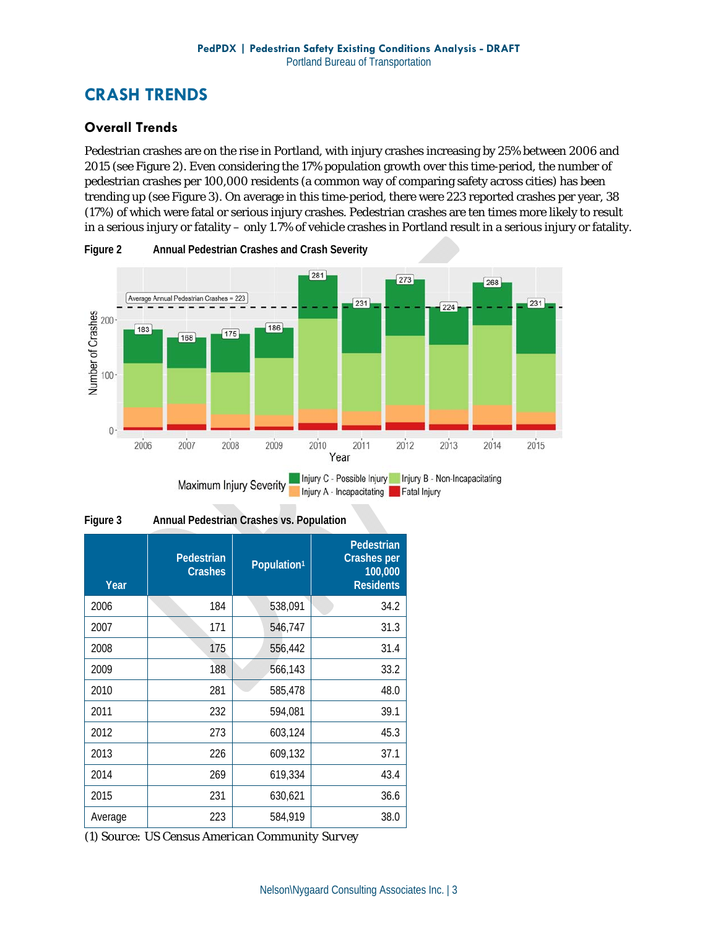# **CRASH TRENDS**

### **Overall Trends**

Pedestrian crashes are on the rise in Portland, with injury crashes increasing by 25% between 2006 and 2015 (see Figure 2). Even considering the 17% population growth over this time-period, the number of pedestrian crashes per 100,000 residents (a common way of comparing safety across cities) has been trending up (see Figure 3). On average in this time-period, there were 223 reported crashes per year, 38 (17%) of which were fatal or serious injury crashes. Pedestrian crashes are ten times more likely to result in a serious injury or fatality – only 1.7% of vehicle crashes in Portland result in a serious injury or fatality.





| Annual Pedestrian Crashes vs. Population |
|------------------------------------------|
|                                          |

| Year    | Pedestrian<br><b>Crashes</b> | Population <sup>1</sup> | Pedestrian<br><b>Crashes per</b><br>100,000<br><b>Residents</b> |
|---------|------------------------------|-------------------------|-----------------------------------------------------------------|
| 2006    | 184                          | 538,091                 | 34.2                                                            |
| 2007    | 171                          | 546,747                 | 31.3                                                            |
| 2008    | 175                          | 556,442                 | 31.4                                                            |
| 2009    | 188                          | 566,143                 | 33.2                                                            |
| 2010    | 281                          | 585,478                 | 48.0                                                            |
| 2011    | 232                          | 594,081                 | 39.1                                                            |
| 2012    | 273                          | 603,124                 | 45.3                                                            |
| 2013    | 226                          | 609,132                 | 37.1                                                            |
| 2014    | 269                          | 619,334                 | 43.4                                                            |
| 2015    | 231                          | 630,621                 | 36.6                                                            |
| Average | 223                          | 584,919                 | 38.0                                                            |

*(1) Source: US Census American Community Survey*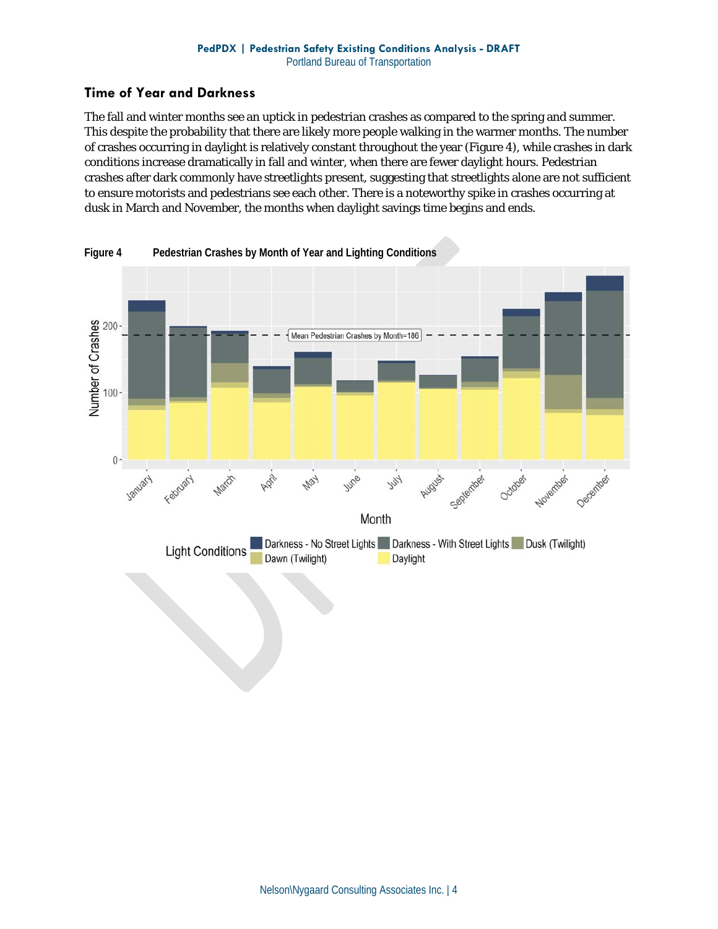#### **Time of Year and Darkness**

The fall and winter months see an uptick in pedestrian crashes as compared to the spring and summer. This despite the probability that there are likely more people walking in the warmer months. The number of crashes occurring in daylight is relatively constant throughout the year (Figure 4), while crashes in dark conditions increase dramatically in fall and winter, when there are fewer daylight hours. Pedestrian crashes after dark commonly have streetlights present, suggesting that streetlights alone are not sufficient to ensure motorists and pedestrians see each other. There is a noteworthy spike in crashes occurring at dusk in March and November, the months when daylight savings time begins and ends.



**Figure 4 Pedestrian Crashes by Month of Year and Lighting Conditions**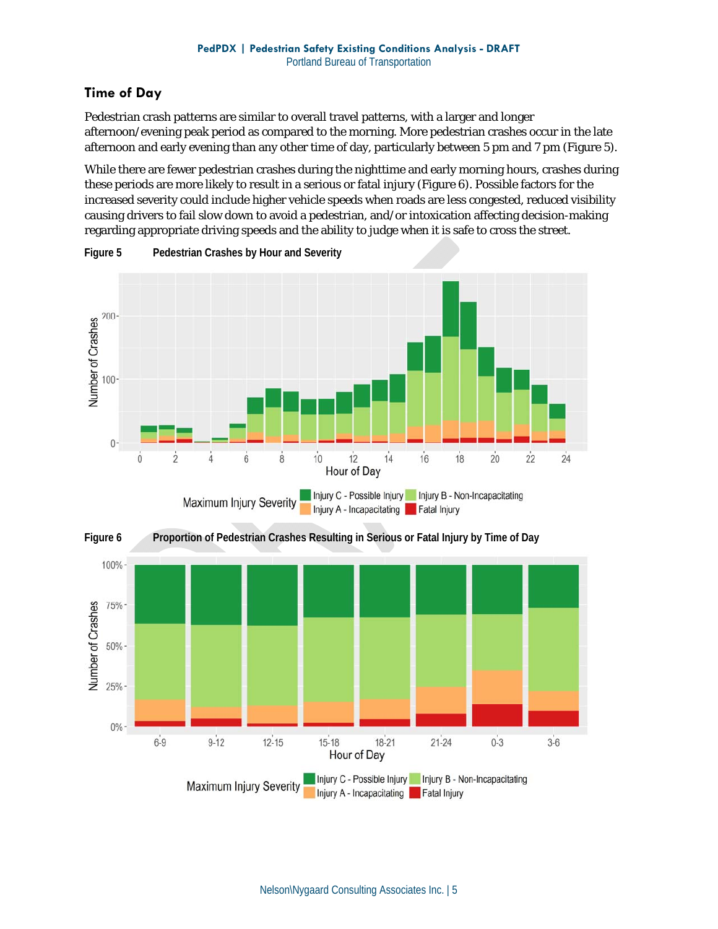## **Time of Day**

Pedestrian crash patterns are similar to overall travel patterns, with a larger and longer afternoon/evening peak period as compared to the morning. More pedestrian crashes occur in the late afternoon and early evening than any other time of day, particularly between 5 pm and 7 pm (Figure 5).

While there are fewer pedestrian crashes during the nighttime and early morning hours, crashes during these periods are more likely to result in a serious or fatal injury (Figure 6). Possible factors for the increased severity could include higher vehicle speeds when roads are less congested, reduced visibility causing drivers to fail slow down to avoid a pedestrian, and/or intoxication affecting decision-making regarding appropriate driving speeds and the ability to judge when it is safe to cross the street.



**Figure 5 Pedestrian Crashes by Hour and Severity** 

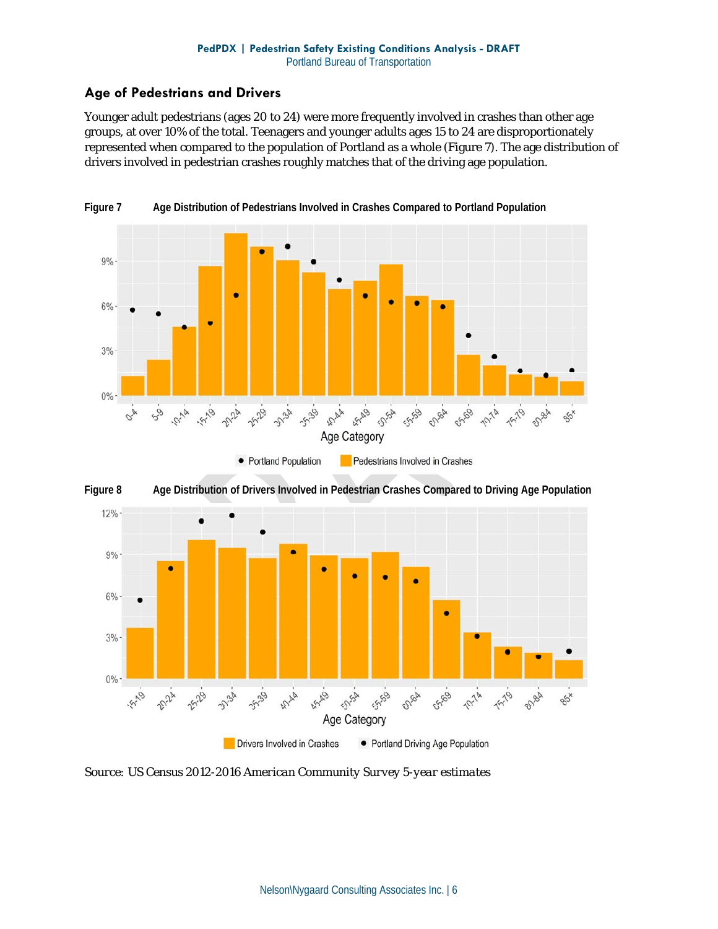#### **Age of Pedestrians and Drivers**

Younger adult pedestrians (ages 20 to 24) were more frequently involved in crashes than other age groups, at over 10% of the total. Teenagers and younger adults ages 15 to 24 are disproportionately represented when compared to the population of Portland as a whole (Figure 7). The age distribution of drivers involved in pedestrian crashes roughly matches that of the driving age population.



**Figure 7 Age Distribution of Pedestrians Involved in Crashes Compared to Portland Population** 





*Source: US Census 2012-2016 American Community Survey 5-year estimates*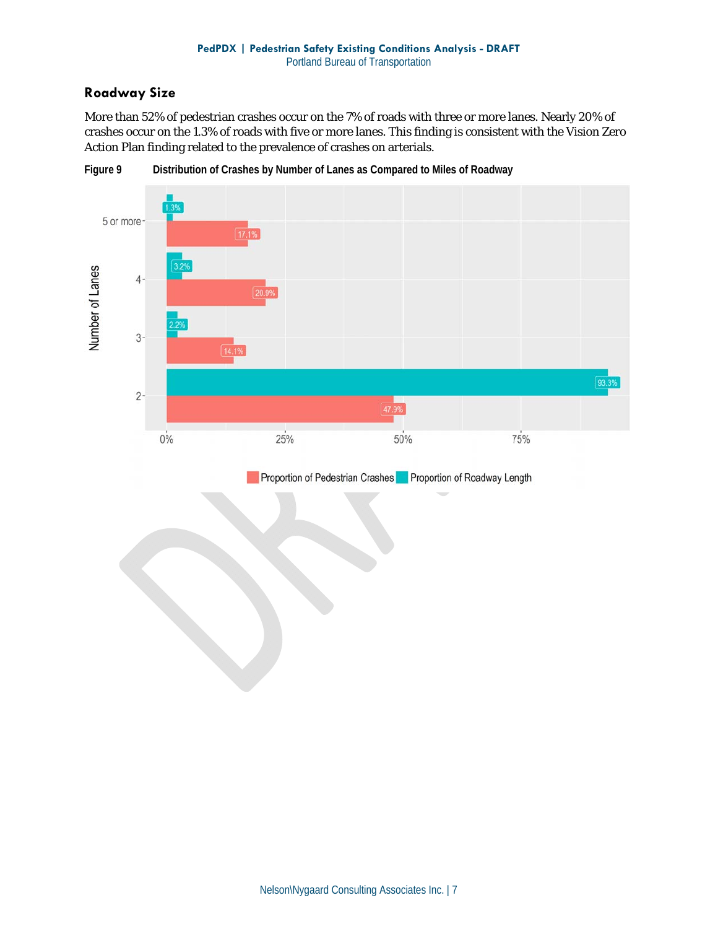#### **Roadway Size**

More than 52% of pedestrian crashes occur on the 7% of roads with three or more lanes. Nearly 20% of crashes occur on the 1.3% of roads with five or more lanes. This finding is consistent with the Vision Zero Action Plan finding related to the prevalence of crashes on arterials.



**Figure 9 Distribution of Crashes by Number of Lanes as Compared to Miles of Roadway** 

Proportion of Pedestrian Crashes Proportion of Roadway Length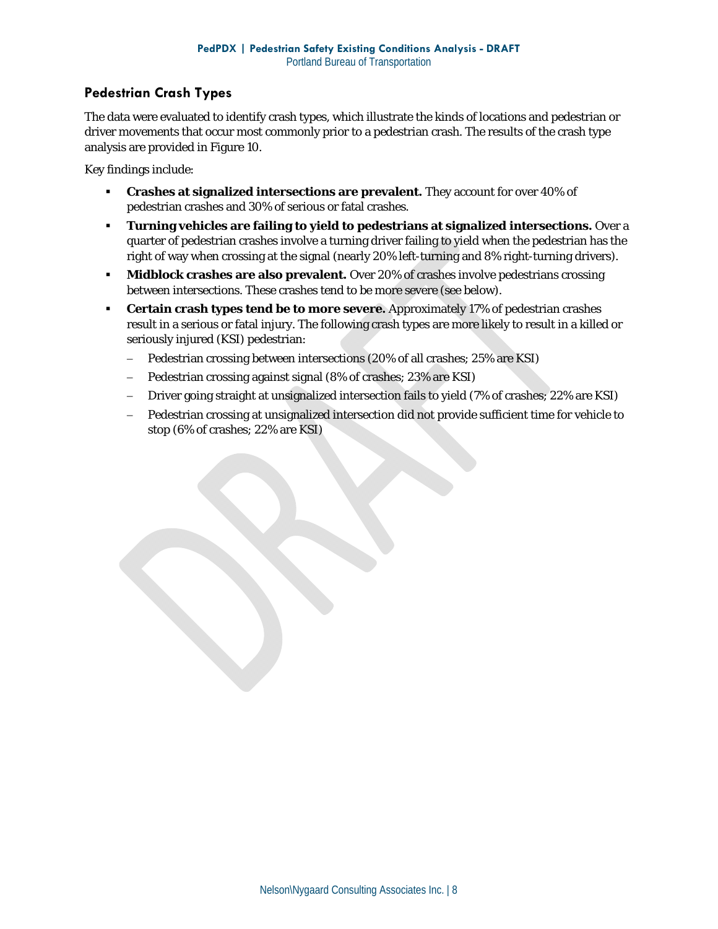#### **Pedestrian Crash Types**

The data were evaluated to identify crash types, which illustrate the kinds of locations and pedestrian or driver movements that occur most commonly prior to a pedestrian crash. The results of the crash type analysis are provided in Figure 10.

Key findings include:

- **Crashes at signalized intersections are prevalent.** They account for over 40% of pedestrian crashes and 30% of serious or fatal crashes.
- **Turning vehicles are failing to yield to pedestrians at signalized intersections.** Over a quarter of pedestrian crashes involve a turning driver failing to yield when the pedestrian has the right of way when crossing at the signal (nearly 20% left-turning and 8% right-turning drivers).
- **Midblock crashes are also prevalent.** Over 20% of crashes involve pedestrians crossing between intersections. These crashes tend to be more severe (see below).
- **Certain crash types tend be to more severe.** Approximately 17% of pedestrian crashes result in a serious or fatal injury. The following crash types are more likely to result in a killed or seriously injured (KSI) pedestrian:
	- Pedestrian crossing between intersections (20% of all crashes; 25% are KSI)
	- Pedestrian crossing against signal (8% of crashes; 23% are KSI)
	- Driver going straight at unsignalized intersection fails to yield (7% of crashes; 22% are KSI)
	- Pedestrian crossing at unsignalized intersection did not provide sufficient time for vehicle to stop (6% of crashes; 22% are KSI)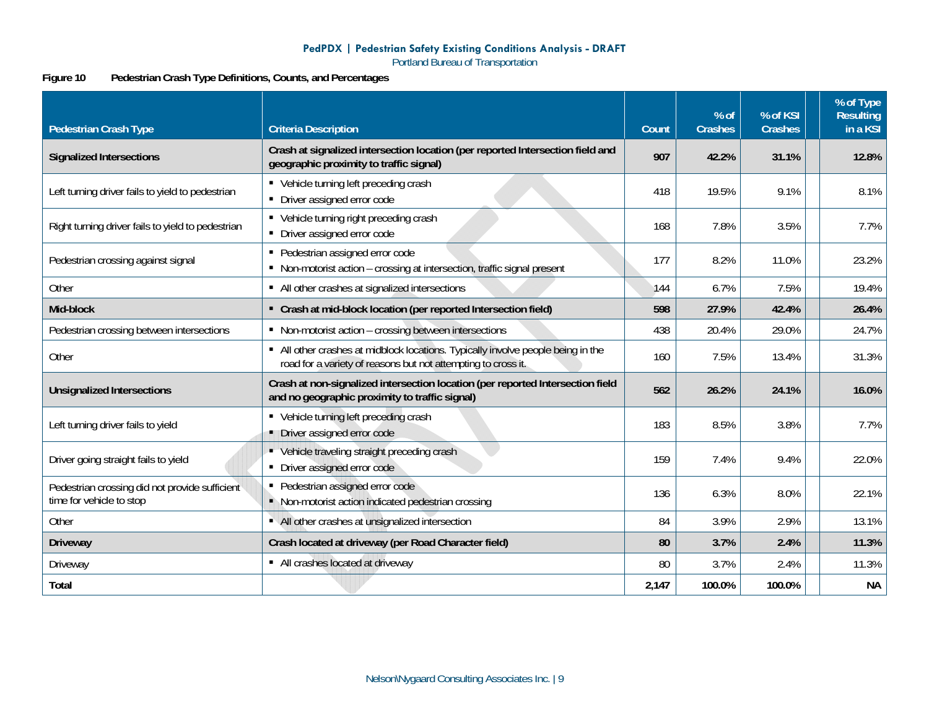#### **PedPDX | Pedestrian Safety Existing Conditions Analysis - DRAFT**

Portland Bureau of Transportation

#### **Figure 10 Pedestrian Crash Type Definitions, Counts, and Percentages**

| <b>Pedestrian Crash Type</b>                                               | <b>Criteria Description</b>                                                                                                                       | Count | % of<br><b>Crashes</b> | % of KSI<br><b>Crashes</b> | % of Type<br><b>Resulting</b><br>in a KSI |
|----------------------------------------------------------------------------|---------------------------------------------------------------------------------------------------------------------------------------------------|-------|------------------------|----------------------------|-------------------------------------------|
| <b>Signalized Intersections</b>                                            | Crash at signalized intersection location (per reported Intersection field and<br>geographic proximity to traffic signal)                         | 907   | 42.2%                  | 31.1%                      | 12.8%                                     |
| Left turning driver fails to yield to pedestrian                           | • Vehicle turning left preceding crash<br>• Driver assigned error code                                                                            | 418   | 19.5%                  | 9.1%                       | 8.1%                                      |
| Right turning driver fails to yield to pedestrian                          | • Vehicle turning right preceding crash<br>• Driver assigned error code                                                                           | 168   | 7.8%                   | 3.5%                       | 7.7%                                      |
| Pedestrian crossing against signal                                         | • Pedestrian assigned error code<br>• Non-motorist action - crossing at intersection, traffic signal present                                      | 177   | 8.2%                   | 11.0%                      | 23.2%                                     |
| Other                                                                      | • All other crashes at signalized intersections                                                                                                   | 144   | 6.7%                   | 7.5%                       | 19.4%                                     |
| Mid-block                                                                  | • Crash at mid-block location (per reported Intersection field)                                                                                   | 598   | 27.9%                  | 42.4%                      | 26.4%                                     |
| Pedestrian crossing between intersections                                  | • Non-motorist action - crossing between intersections                                                                                            | 438   | 20.4%                  | 29.0%                      | 24.7%                                     |
| Other                                                                      | • All other crashes at midblock locations. Typically involve people being in the<br>road for a variety of reasons but not attempting to cross it. | 160   | 7.5%                   | 13.4%                      | 31.3%                                     |
| <b>Unsignalized Intersections</b>                                          | Crash at non-signalized intersection location (per reported Intersection field<br>and no geographic proximity to traffic signal)                  | 562   | 26.2%                  | 24.1%                      | 16.0%                                     |
| Left turning driver fails to yield                                         | • Vehicle turning left preceding crash<br>• Driver assigned error code                                                                            | 183   | 8.5%                   | 3.8%                       | 7.7%                                      |
| Driver going straight fails to yield                                       | • Vehicle traveling straight preceding crash<br>• Driver assigned error code                                                                      | 159   | 7.4%                   | 9.4%                       | 22.0%                                     |
| Pedestrian crossing did not provide sufficient<br>time for vehicle to stop | • Pedestrian assigned error code<br>• Non-motorist action indicated pedestrian crossing                                                           | 136   | 6.3%                   | 8.0%                       | 22.1%                                     |
| Other                                                                      | • All other crashes at unsignalized intersection                                                                                                  | 84    | 3.9%                   | 2.9%                       | 13.1%                                     |
| <b>Driveway</b>                                                            | Crash located at driveway (per Road Character field)                                                                                              | 80    | 3.7%                   | 2.4%                       | 11.3%                                     |
| Driveway                                                                   | • All crashes located at driveway                                                                                                                 | 80    | 3.7%                   | 2.4%                       | 11.3%                                     |
| Total                                                                      |                                                                                                                                                   | 2,147 | 100.0%                 | 100.0%                     | <b>NA</b>                                 |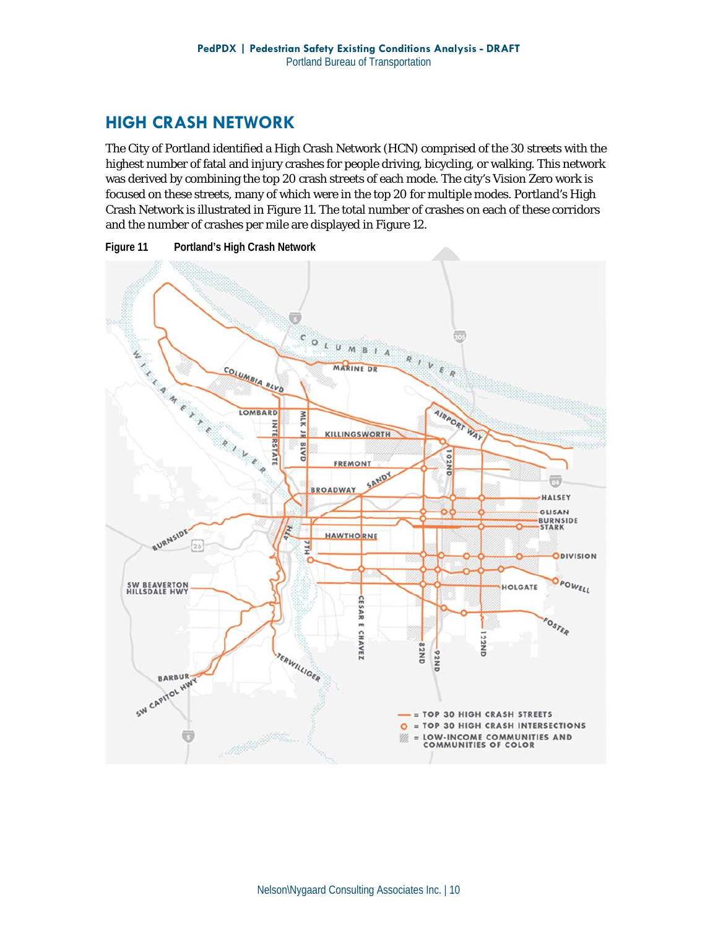# **HIGH CRASH NETWORK**

The City of Portland identified a High Crash Network (HCN) comprised of the 30 streets with the highest number of fatal and injury crashes for people driving, bicycling, or walking. This network was derived by combining the top 20 crash streets of each mode. The city's Vision Zero work is focused on these streets, many of which were in the top 20 for multiple modes. Portland's High Crash Network is illustrated in Figure 11. The total number of crashes on each of these corridors and the number of crashes per mile are displayed in Figure 12.





Nelson\Nygaard Consulting Associates Inc. | 10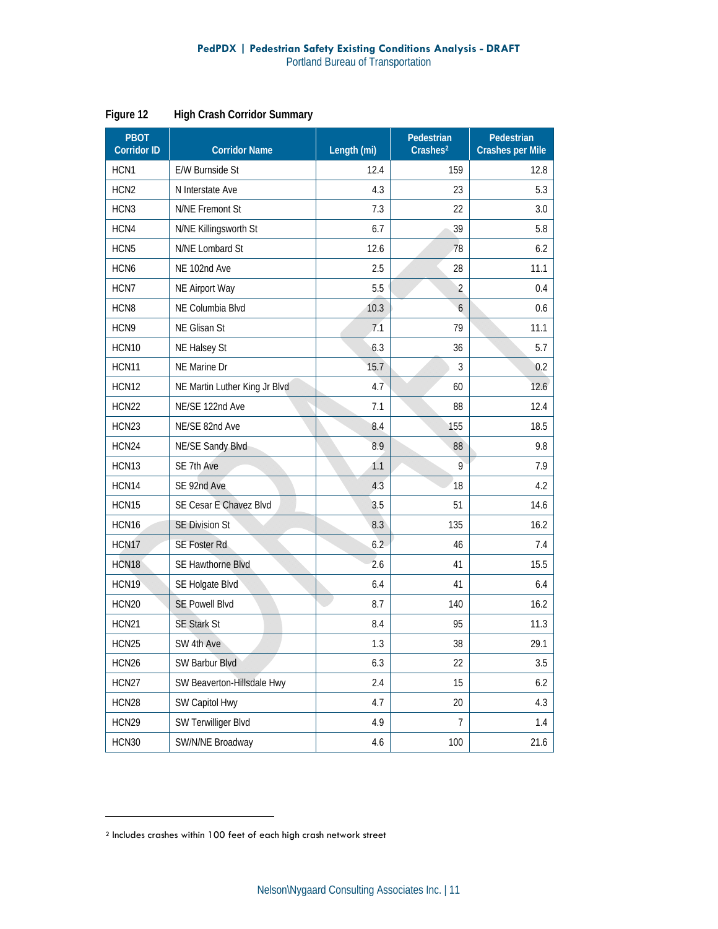| <b>PBOT</b><br><b>Corridor ID</b> | <b>Corridor Name</b>          | Length (mi) | Pedestrian<br>Crashes <sup>2</sup> | Pedestrian<br><b>Crashes per Mile</b> |  |  |
|-----------------------------------|-------------------------------|-------------|------------------------------------|---------------------------------------|--|--|
| HCN <sub>1</sub>                  | <b>E/W Burnside St</b>        | 12.4        | 159                                | 12.8                                  |  |  |
| HCN <sub>2</sub>                  | N Interstate Ave              | 4.3         | 23                                 | 5.3                                   |  |  |
| HCN <sub>3</sub>                  | N/NE Fremont St               | 7.3         | 22                                 | 3.0                                   |  |  |
| HCN4                              | N/NE Killingsworth St         | 6.7         | 39                                 | 5.8                                   |  |  |
| HCN <sub>5</sub>                  | N/NE Lombard St               | 12.6        | 78                                 | 6.2                                   |  |  |
| HCN <sub>6</sub>                  | NE 102nd Ave                  | 2.5         | 28                                 | 11.1                                  |  |  |
| HCN7                              | NE Airport Way                | 5.5         | $\overline{2}$                     | 0.4                                   |  |  |
| HCN8                              | NE Columbia Blvd              | 10.3        | 6                                  | 0.6                                   |  |  |
| HCN9                              | NE Glisan St                  | 7.1         | 79                                 | 11.1                                  |  |  |
| HCN10                             | NE Halsey St                  | 6.3         | 36                                 | 5.7                                   |  |  |
| HCN11                             | NE Marine Dr                  | 15.7        | 3                                  | 0.2                                   |  |  |
| HCN <sub>12</sub>                 | NE Martin Luther King Jr Blvd | 4.7         | 60                                 | 12.6                                  |  |  |
| HCN22                             | NE/SE 122nd Ave               | 7.1         | 88                                 | 12.4                                  |  |  |
| HCN23                             | NE/SE 82nd Ave                | 8.4         | 155                                | 18.5                                  |  |  |
| HCN24                             | NE/SE Sandy Blvd              | 8.9         | 88                                 | 9.8                                   |  |  |
| HCN13                             | SE 7th Ave                    | 1.1         | 9                                  | 7.9                                   |  |  |
| HCN14                             | SE 92nd Ave                   | 4.3         | 18                                 | 4.2                                   |  |  |
| HCN15                             | SE Cesar E Chavez Blvd        | 3.5         | 51                                 | 14.6                                  |  |  |
| HCN16                             | <b>SE Division St</b>         | 8.3         | 135                                | 16.2                                  |  |  |
| HCN <sub>17</sub>                 | <b>SE Foster Rd</b>           | 6.2         | 46                                 | 7.4                                   |  |  |
| HCN18                             | SE Hawthorne Blvd             | 2.6         | 41                                 | 15.5                                  |  |  |
| HCN19                             | SE Holgate Blvd               | 6.4         | 41                                 | 6.4                                   |  |  |
| HCN20                             | <b>SE Powell Blvd</b>         | 8.7         | 140                                | 16.2                                  |  |  |
| HCN21                             | <b>SE Stark St</b>            | 8.4         | 95                                 | 11.3                                  |  |  |
| HCN25                             | SW 4th Ave                    | 1.3         | 38                                 | 29.1                                  |  |  |
| HCN26                             | SW Barbur Blvd                | 6.3         | 22                                 | 3.5                                   |  |  |
| HCN27                             | SW Beaverton-Hillsdale Hwy    | 2.4         | 15                                 | 6.2                                   |  |  |
| HCN28                             | SW Capitol Hwy                | 4.7         | 20                                 | 4.3                                   |  |  |
| HCN29                             | SW Terwilliger Blvd           | 4.9         | 7                                  | 1.4                                   |  |  |
| HCN30                             | SW/N/NE Broadway              | 4.6         | 100                                | 21.6                                  |  |  |

**Figure 12 High Crash Corridor Summary** 

 $\overline{a}$ 

<sup>2</sup> Includes crashes within 100 feet of each high crash network street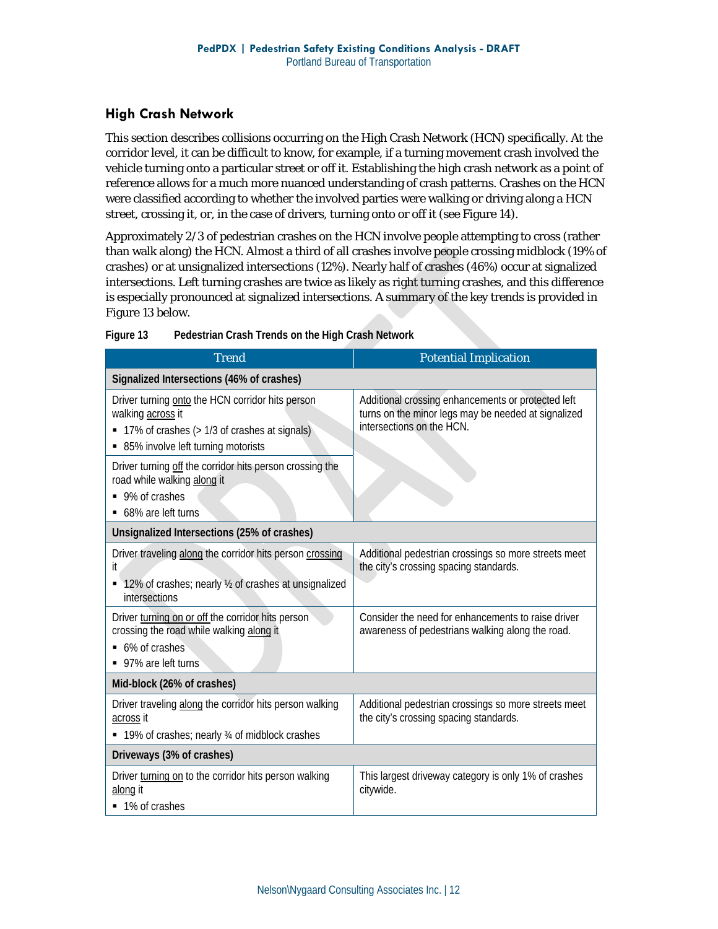#### **High Crash Network**

This section describes collisions occurring on the High Crash Network (HCN) specifically. At the corridor level, it can be difficult to know, for example, if a turning movement crash involved the vehicle turning onto a particular street or off it. Establishing the high crash network as a point of reference allows for a much more nuanced understanding of crash patterns. Crashes on the HCN were classified according to whether the involved parties were walking or driving along a HCN street, crossing it, or, in the case of drivers, turning onto or off it (see Figure 14).

Approximately 2/3 of pedestrian crashes on the HCN involve people attempting to cross (rather than walk along) the HCN. Almost a third of all crashes involve people crossing midblock (19% of crashes) or at unsignalized intersections (12%). Nearly half of crashes (46%) occur at signalized intersections. Left turning crashes are twice as likely as right turning crashes, and this difference is especially pronounced at signalized intersections. A summary of the key trends is provided in Figure 13 below.

| <b>Trend</b>                                                                                                                                                  | <b>Potential Implication</b>                                                                                                           |  |  |  |  |  |  |
|---------------------------------------------------------------------------------------------------------------------------------------------------------------|----------------------------------------------------------------------------------------------------------------------------------------|--|--|--|--|--|--|
| Signalized Intersections (46% of crashes)                                                                                                                     |                                                                                                                                        |  |  |  |  |  |  |
| Driver turning onto the HCN corridor hits person<br>walking across it<br>• 17% of crashes (> 1/3 of crashes at signals)<br>85% involve left turning motorists | Additional crossing enhancements or protected left<br>turns on the minor legs may be needed at signalized<br>intersections on the HCN. |  |  |  |  |  |  |
| Driver turning off the corridor hits person crossing the<br>road while walking along it<br>■ 9% of crashes<br>■ 68% are left turns                            |                                                                                                                                        |  |  |  |  |  |  |
| Unsignalized Intersections (25% of crashes)                                                                                                                   |                                                                                                                                        |  |  |  |  |  |  |
| Driver traveling along the corridor hits person crossing<br>it<br>■ 12% of crashes; nearly ½ of crashes at unsignalized<br>intersections                      | Additional pedestrian crossings so more streets meet<br>the city's crossing spacing standards.                                         |  |  |  |  |  |  |
| Driver turning on or off the corridor hits person<br>crossing the road while walking along it<br>■ 6% of crashes<br>• 97% are left turns                      | Consider the need for enhancements to raise driver<br>awareness of pedestrians walking along the road.                                 |  |  |  |  |  |  |
| Mid-block (26% of crashes)                                                                                                                                    |                                                                                                                                        |  |  |  |  |  |  |
| Driver traveling along the corridor hits person walking<br>across it<br>■ 19% of crashes; nearly 3⁄4 of midblock crashes                                      | Additional pedestrian crossings so more streets meet<br>the city's crossing spacing standards.                                         |  |  |  |  |  |  |
| Driveways (3% of crashes)                                                                                                                                     |                                                                                                                                        |  |  |  |  |  |  |
| Driver turning on to the corridor hits person walking<br>along it<br>■ 1% of crashes                                                                          | This largest driveway category is only 1% of crashes<br>citywide.                                                                      |  |  |  |  |  |  |

**Figure 13 Pedestrian Crash Trends on the High Crash Network**